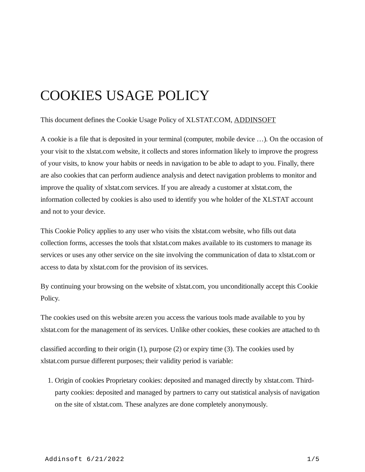# COOKIES USAGE POLICY

This document defines the Cookie Usage Policy of XLSTAT.COM, [ADDINSOFT](https://www.addinsoft.com/)

A cookie is a file that is deposited in your terminal (computer, mobile device …). On the occasion of your visit to the xlstat.com website, it collects and stores information likely to improve the progress of your visits, to know your habits or needs in navigation to be able to adapt to you. Finally, there are also cookies that can perform audience analysis and detect navigation problems to monitor and improve the quality of xlstat.com services. If you are already a customer at xlstat.com, the information collected by cookies is also used to identify you whe holder of the XLSTAT account and not to your device.

This Cookie Policy applies to any user who visits the xlstat.com website, who fills out data collection forms, accesses the tools that xlstat.com makes available to its customers to manage its services or uses any other service on the site involving the communication of data to xlstat.com or access to data by xlstat.com for the provision of its services.

By continuing your browsing on the website of xlstat.com, you unconditionally accept this Cookie Policy.

The cookies used on this website are:en you access the various tools made available to you by xlstat.com for the management of its services. Unlike other cookies, these cookies are attached to th

classified according to their origin (1), purpose (2) or expiry time (3). The cookies used by xlstat.com pursue different purposes; their validity period is variable:

1. Origin of cookies Proprietary cookies: deposited and managed directly by xlstat.com. Thirdparty cookies: deposited and managed by partners to carry out statistical analysis of navigation on the site of xlstat.com. These analyzes are done completely anonymously.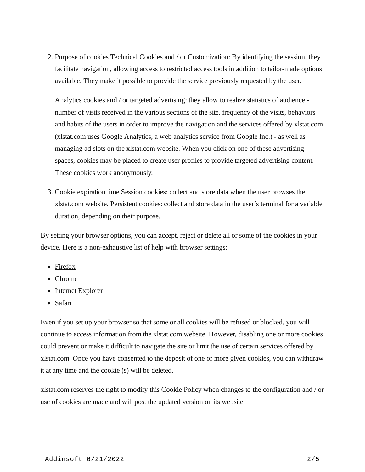2. Purpose of cookies Technical Cookies and / or Customization: By identifying the session, they facilitate navigation, allowing access to restricted access tools in addition to tailor-made options available. They make it possible to provide the service previously requested by the user.

Analytics cookies and / or targeted advertising: they allow to realize statistics of audience number of visits received in the various sections of the site, frequency of the visits, behaviors and habits of the users in order to improve the navigation and the services offered by xlstat.com (xlstat.com uses Google Analytics, a web analytics service from Google Inc.) - as well as managing ad slots on the xlstat.com website. When you click on one of these advertising spaces, cookies may be placed to create user profiles to provide targeted advertising content. These cookies work anonymously.

3. Cookie expiration time Session cookies: collect and store data when the user browses the xlstat.com website. Persistent cookies: collect and store data in the user's terminal for a variable duration, depending on their purpose.

By setting your browser options, you can accept, reject or delete all or some of the cookies in your device. Here is a non-exhaustive list of help with browser settings:

- [Firefox](https://support.mozilla.org/kb/cookies-information-sites-record)
- [Chrome](https://support.google.com/chrome/answer/95647?hl=en)
- [Internet Explorer](https://support.microsoft.com/en-us/help/278835/how-to-delete-cookie-files-in-internet-explorer)
- [Safari](https://support.apple.com/kb/ph21411?locale=en_CA)

Even if you set up your browser so that some or all cookies will be refused or blocked, you will continue to access information from the xlstat.com website. However, disabling one or more cookies could prevent or make it difficult to navigate the site or limit the use of certain services offered by xlstat.com. Once you have consented to the deposit of one or more given cookies, you can withdraw it at any time and the cookie (s) will be deleted.

xlstat.com reserves the right to modify this Cookie Policy when changes to the configuration and / or use of cookies are made and will post the updated version on its website.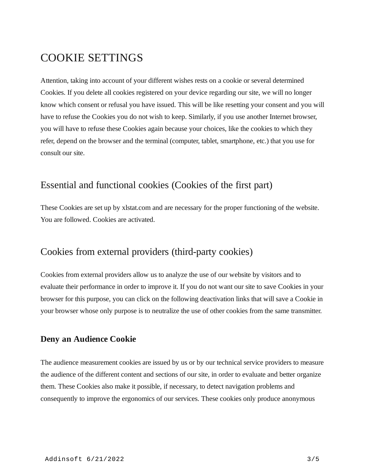## COOKIE SETTINGS

Attention, taking into account of your different wishes rests on a cookie or several determined Cookies. If you delete all cookies registered on your device regarding our site, we will no longer know which consent or refusal you have issued. This will be like resetting your consent and you will have to refuse the Cookies you do not wish to keep. Similarly, if you use another Internet browser, you will have to refuse these Cookies again because your choices, like the cookies to which they refer, depend on the browser and the terminal (computer, tablet, smartphone, etc.) that you use for consult our site.

## Essential and functional cookies (Cookies of the first part)

These Cookies are set up by xlstat.com and are necessary for the proper functioning of the website. You are followed. Cookies are activated.

## Cookies from external providers (third-party cookies)

Cookies from external providers allow us to analyze the use of our website by visitors and to evaluate their performance in order to improve it. If you do not want our site to save Cookies in your browser for this purpose, you can click on the following deactivation links that will save a Cookie in your browser whose only purpose is to neutralize the use of other cookies from the same transmitter.

### **Deny an Audience Cookie**

The audience measurement cookies are issued by us or by our technical service providers to measure the audience of the different content and sections of our site, in order to evaluate and better organize them. These Cookies also make it possible, if necessary, to detect navigation problems and consequently to improve the ergonomics of our services. These cookies only produce anonymous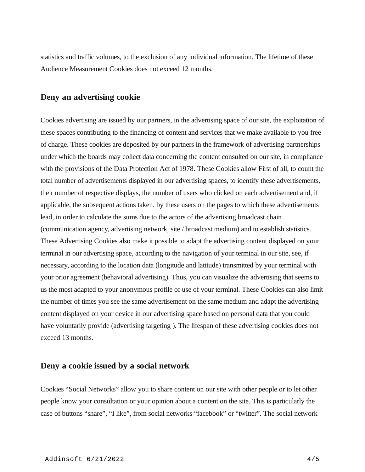statistics and traffic volumes, to the exclusion of any individual information. The lifetime of these Audience Measurement Cookies does not exceed 12 months.

#### **Deny an advertising cookie**

Cookies advertising are issued by our partners, in the advertising space of our site, the exploitation of these spaces contributing to the financing of content and services that we make available to you free of charge. These cookies are deposited by our partners in the framework of advertising partnerships under which the boards may collect data concerning the content consulted on our site, in compliance with the provisions of the Data Protection Act of 1978. These Cookies allow First of all, to count the total number of advertisements displayed in our advertising spaces, to identify these advertisements, their number of respective displays, the number of users who clicked on each advertisement and, if applicable, the subsequent actions taken. by these users on the pages to which these advertisements lead, in order to calculate the sums due to the actors of the advertising broadcast chain (communication agency, advertising network, site / broadcast medium) and to establish statistics. These Advertising Cookies also make it possible to adapt the advertising content displayed on your terminal in our advertising space, according to the navigation of your terminal in our site, see, if necessary, according to the location data (longitude and latitude) transmitted by your terminal with your prior agreement (behavioral advertising). Thus, you can visualize the advertising that seems to us the most adapted to your anonymous profile of use of your terminal. These Cookies can also limit the number of times you see the same advertisement on the same medium and adapt the advertising content displayed on your device in our advertising space based on personal data that you could have voluntarily provide (advertising targeting ). The lifespan of these advertising cookies does not exceed 13 months.

#### **Deny a cookie issued by a social network**

Cookies "Social Networks" allow you to share content on our site with other people or to let other people know your consultation or your opinion about a content on the site. This is particularly the case of buttons "share", "I like", from social networks "facebook" or "twitter". The social network